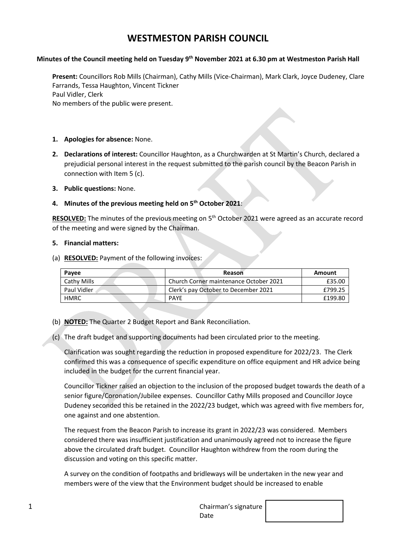# **WESTMESTON PARISH COUNCIL**

### **Minutes of the Council meeting held on Tuesday 9 th November 2021 at 6.30 pm at Westmeston Parish Hall**

**Present:** Councillors Rob Mills (Chairman), Cathy Mills (Vice-Chairman), Mark Clark, Joyce Dudeney, Clare Farrands, Tessa Haughton, Vincent Tickner Paul Vidler, Clerk No members of the public were present.

- **1. Apologies for absence:** None.
- **2. Declarations of interest:** Councillor Haughton, as a Churchwarden at St Martin's Church, declared a prejudicial personal interest in the request submitted to the parish council by the Beacon Parish in connection with Item 5 (c).
- **3. Public questions:** None.
- **4. Minutes of the previous meeting held on 5 th October 2021**:

RESOLVED: The minutes of the previous meeting on 5<sup>th</sup> October 2021 were agreed as an accurate record of the meeting and were signed by the Chairman.

#### **5. Financial matters:**

(a) **RESOLVED:** Payment of the following invoices:

| Pavee       | Reason                                 | Amount  |
|-------------|----------------------------------------|---------|
| Cathy Mills | Church Corner maintenance October 2021 | £35.00  |
| Paul Vidler | Clerk's pay October to December 2021   | £799.25 |
| <b>HMRC</b> | <b>PAYF</b>                            | £199.80 |

- (b) **NOTED:** The Quarter 2 Budget Report and Bank Reconciliation.
- (c) The draft budget and supporting documents had been circulated prior to the meeting.

Clarification was sought regarding the reduction in proposed expenditure for 2022/23. The Clerk confirmed this was a consequence of specific expenditure on office equipment and HR advice being included in the budget for the current financial year.

Councillor Tickner raised an objection to the inclusion of the proposed budget towards the death of a senior figure/Coronation/Jubilee expenses. Councillor Cathy Mills proposed and Councillor Joyce Dudeney seconded this be retained in the 2022/23 budget, which was agreed with five members for, one against and one abstention.

The request from the Beacon Parish to increase its grant in 2022/23 was considered. Members considered there was insufficient justification and unanimously agreed not to increase the figure above the circulated draft budget. Councillor Haughton withdrew from the room during the discussion and voting on this specific matter.

A survey on the condition of footpaths and bridleways will be undertaken in the new year and members were of the view that the Environment budget should be increased to enable

1 Chairman's signature of the contract of the Chairman's signature of the Chairman's signature of the contract of the Chairman's signature of the contract of the Chairman's signature of the Chairman's signature of the Chai Date

| ure |  |  |
|-----|--|--|
|     |  |  |
|     |  |  |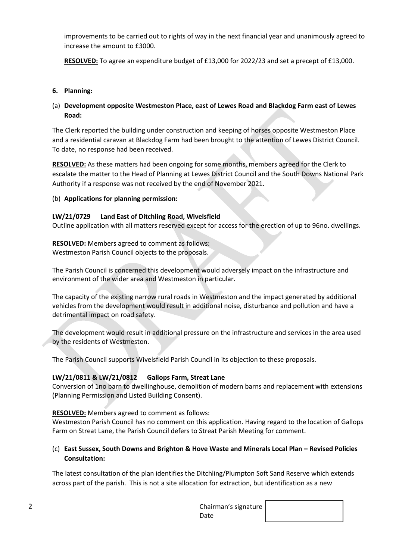improvements to be carried out to rights of way in the next financial year and unanimously agreed to increase the amount to £3000.

**RESOLVED:** To agree an expenditure budget of £13,000 for 2022/23 and set a precept of £13,000.

### **6. Planning:**

## (a) **Development opposite Westmeston Place, east of Lewes Road and Blackdog Farm east of Lewes Road:**

The Clerk reported the building under construction and keeping of horses opposite Westmeston Place and a residential caravan at Blackdog Farm had been brought to the attention of Lewes District Council. To date, no response had been received.

**RESOLVED:** As these matters had been ongoing for some months, members agreed for the Clerk to escalate the matter to the Head of Planning at Lewes District Council and the South Downs National Park Authority if a response was not received by the end of November 2021.

#### (b) **Applications for planning permission:**

#### **LW/21/0729 Land East of Ditchling Road, Wivelsfield**

Outline application with all matters reserved except for access for the erection of up to 96no. dwellings.

**RESOLVED:** Members agreed to comment as follows: Westmeston Parish Council objects to the proposals.

The Parish Council is concerned this development would adversely impact on the infrastructure and environment of the wider area and Westmeston in particular.

The capacity of the existing narrow rural roads in Westmeston and the impact generated by additional vehicles from the development would result in additional noise, disturbance and pollution and have a detrimental impact on road safety.

The development would result in additional pressure on the infrastructure and services in the area used by the residents of Westmeston.

The Parish Council supports Wivelsfield Parish Council in its objection to these proposals.

## **LW/21/0811 & LW/21/0812 Gallops Farm, Streat Lane**

Conversion of 1no barn to dwellinghouse, demolition of modern barns and replacement with extensions (Planning Permission and Listed Building Consent).

#### **RESOLVED:** Members agreed to comment as follows:

Westmeston Parish Council has no comment on this application. Having regard to the location of Gallops Farm on Streat Lane, the Parish Council defers to Streat Parish Meeting for comment.

## (c) **East Sussex, South Downs and Brighton & Hove Waste and Minerals Local Plan – Revised Policies Consultation:**

The latest consultation of the plan identifies the Ditchling/Plumpton Soft Sand Reserve which extends across part of the parish. This is not a site allocation for extraction, but identification as a new